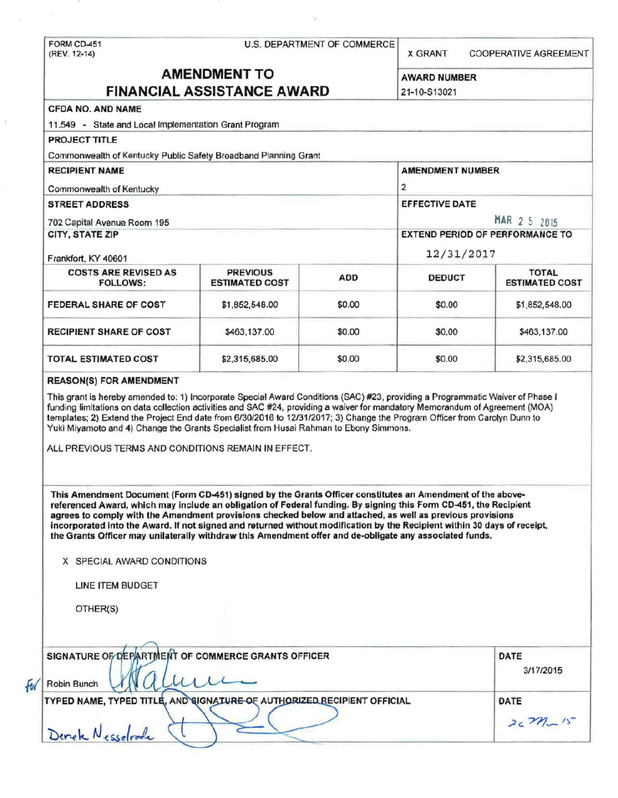|                                                                                                                                                                                                                                                                                                                                                                                                                                                                                                                                                                                                                                                                                                                                                                                                                                                                                                                                                                                                                                                                                                                                                                                                  |                                          | U.S. DEPARTMENT OF COMMERCE | <b>X GRANT</b>                         | <b>COOPERATIVE AGREEMENT</b>            |                             |
|--------------------------------------------------------------------------------------------------------------------------------------------------------------------------------------------------------------------------------------------------------------------------------------------------------------------------------------------------------------------------------------------------------------------------------------------------------------------------------------------------------------------------------------------------------------------------------------------------------------------------------------------------------------------------------------------------------------------------------------------------------------------------------------------------------------------------------------------------------------------------------------------------------------------------------------------------------------------------------------------------------------------------------------------------------------------------------------------------------------------------------------------------------------------------------------------------|------------------------------------------|-----------------------------|----------------------------------------|-----------------------------------------|-----------------------------|
| <b>AMENDMENT TO</b>                                                                                                                                                                                                                                                                                                                                                                                                                                                                                                                                                                                                                                                                                                                                                                                                                                                                                                                                                                                                                                                                                                                                                                              |                                          |                             |                                        |                                         |                             |
| <b>FINANCIAL ASSISTANCE AWARD</b>                                                                                                                                                                                                                                                                                                                                                                                                                                                                                                                                                                                                                                                                                                                                                                                                                                                                                                                                                                                                                                                                                                                                                                |                                          |                             | <b>AWARD NUMBER</b><br>21-10-S13021    |                                         |                             |
| <b>CFDA NO. AND NAME</b>                                                                                                                                                                                                                                                                                                                                                                                                                                                                                                                                                                                                                                                                                                                                                                                                                                                                                                                                                                                                                                                                                                                                                                         |                                          |                             |                                        |                                         |                             |
| 11.549 - State and Local Implementation Grant Program                                                                                                                                                                                                                                                                                                                                                                                                                                                                                                                                                                                                                                                                                                                                                                                                                                                                                                                                                                                                                                                                                                                                            |                                          |                             |                                        |                                         |                             |
| <b>PROJECT TITLE</b>                                                                                                                                                                                                                                                                                                                                                                                                                                                                                                                                                                                                                                                                                                                                                                                                                                                                                                                                                                                                                                                                                                                                                                             |                                          |                             |                                        |                                         |                             |
| Commonwealth of Kentucky Public Safety Broadband Planning Grant                                                                                                                                                                                                                                                                                                                                                                                                                                                                                                                                                                                                                                                                                                                                                                                                                                                                                                                                                                                                                                                                                                                                  |                                          |                             |                                        |                                         |                             |
| <b>RECIPIENT NAME</b>                                                                                                                                                                                                                                                                                                                                                                                                                                                                                                                                                                                                                                                                                                                                                                                                                                                                                                                                                                                                                                                                                                                                                                            |                                          |                             | <b>AMENDMENT NUMBER</b>                |                                         |                             |
|                                                                                                                                                                                                                                                                                                                                                                                                                                                                                                                                                                                                                                                                                                                                                                                                                                                                                                                                                                                                                                                                                                                                                                                                  |                                          |                             | $\mathbf{z}$                           |                                         |                             |
| Commonwealth of Kentucky<br><b>STREET ADDRESS</b>                                                                                                                                                                                                                                                                                                                                                                                                                                                                                                                                                                                                                                                                                                                                                                                                                                                                                                                                                                                                                                                                                                                                                |                                          |                             | <b>EFFECTIVE DATE</b>                  |                                         |                             |
|                                                                                                                                                                                                                                                                                                                                                                                                                                                                                                                                                                                                                                                                                                                                                                                                                                                                                                                                                                                                                                                                                                                                                                                                  |                                          |                             |                                        |                                         | 702 Capital Avenue Room 195 |
| CITY, STATE ZIP                                                                                                                                                                                                                                                                                                                                                                                                                                                                                                                                                                                                                                                                                                                                                                                                                                                                                                                                                                                                                                                                                                                                                                                  |                                          |                             | <b>EXTEND PERIOD OF PERFORMANCE TO</b> |                                         |                             |
| Frankfort, KY 40601                                                                                                                                                                                                                                                                                                                                                                                                                                                                                                                                                                                                                                                                                                                                                                                                                                                                                                                                                                                                                                                                                                                                                                              |                                          |                             | 12/31/2017                             |                                         |                             |
| <b>COSTS ARE REVISED AS</b><br><b>FOLLOWS:</b>                                                                                                                                                                                                                                                                                                                                                                                                                                                                                                                                                                                                                                                                                                                                                                                                                                                                                                                                                                                                                                                                                                                                                   | <b>PREVIOUS</b><br><b>ESTIMATED COST</b> | <b>ADD</b>                  | <b>DEDUCT</b>                          | <b>TOTAL</b><br><b>ESTIMATED COST</b>   |                             |
| FEDERAL SHARE OF COST                                                                                                                                                                                                                                                                                                                                                                                                                                                                                                                                                                                                                                                                                                                                                                                                                                                                                                                                                                                                                                                                                                                                                                            | \$1,852,548.00                           | \$0.00                      | \$0.00                                 | \$1,852,548.00                          |                             |
| <b>RECIPIENT SHARE OF COST</b>                                                                                                                                                                                                                                                                                                                                                                                                                                                                                                                                                                                                                                                                                                                                                                                                                                                                                                                                                                                                                                                                                                                                                                   | \$463,137.00                             | \$0.00                      | \$0.00                                 | \$463,137.00                            |                             |
| <b>TOTAL ESTIMATED COST</b>                                                                                                                                                                                                                                                                                                                                                                                                                                                                                                                                                                                                                                                                                                                                                                                                                                                                                                                                                                                                                                                                                                                                                                      | \$2,315,685.00                           | \$0.00                      | \$0.00                                 | \$2,315,685.00                          |                             |
|                                                                                                                                                                                                                                                                                                                                                                                                                                                                                                                                                                                                                                                                                                                                                                                                                                                                                                                                                                                                                                                                                                                                                                                                  |                                          |                             |                                        |                                         |                             |
|                                                                                                                                                                                                                                                                                                                                                                                                                                                                                                                                                                                                                                                                                                                                                                                                                                                                                                                                                                                                                                                                                                                                                                                                  |                                          |                             |                                        |                                         |                             |
| This grant is hereby amended to: 1) Incorporate Special Award Conditions (SAC) #23, providing a Programmatic Waiver of Phase I<br>funding limitations on data collection activities and SAC #24, providing a waiver for mandatory Memorandum of Agreement (MOA)<br>templates; 2) Extend the Project End date from 6/30/2016 to 12/31/2017; 3) Change the Program Officer from Carolyn Dunn to<br>Yuki Miyamoto and 4) Change the Grants Specialist from Husai Rahman to Ebony Simmons.<br>ALL PREVIOUS TERMS AND CONDITIONS REMAIN IN EFFECT.<br>This Amendment Document (Form CD-451) signed by the Grants Officer constitutes an Amendment of the above-<br>referenced Award, which may include an obligation of Federal funding. By signing this Form CD-451, the Recipient<br>agrees to comply with the Amendment provisions checked below and attached, as well as previous provisions<br>incorporated into the Award. If not signed and returned without modification by the Recipient within 30 days of receipt,<br>the Grants Officer may unilaterally withdraw this Amendment offer and de-obligate any associated funds.<br>X SPECIAL AWARD CONDITIONS<br>LINE ITEM BUDGET<br>OTHER(S) |                                          |                             |                                        |                                         |                             |
| SIGNATURE OF DEPARTMENT OF COMMERCE GRANTS OFFICER<br>Robin Bunch<br>TYPED NAME, TYPED TITLE, AND SIGNATURE OF AUTHORIZED RECIPIENT OFFICIAL                                                                                                                                                                                                                                                                                                                                                                                                                                                                                                                                                                                                                                                                                                                                                                                                                                                                                                                                                                                                                                                     |                                          |                             |                                        | DATE<br>3/17/2015<br>DATE<br>$2c271-15$ |                             |